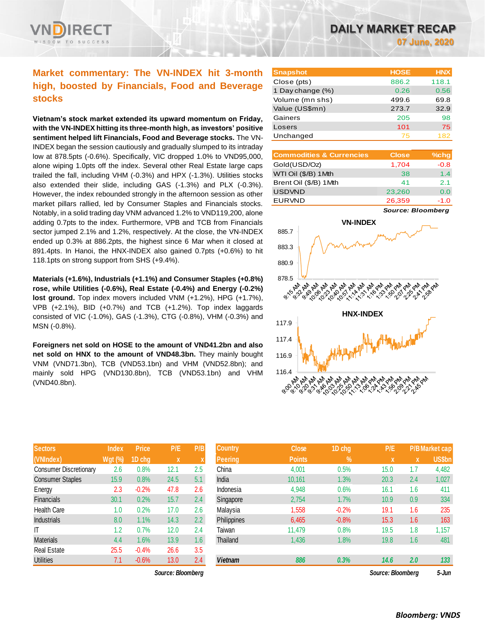

# **Market commentary: The VN-INDEX hit 3-month high, boosted by Financials, Food and Beverage stocks**

**Vietnam's stock market extended its upward momentum on Friday, with the VN-INDEX hitting its three-month high, as investors' positive sentiment helped lift Financials, Food and Beverage stocks.** The VN-INDEX began the session cautiously and gradually slumped to its intraday low at 878.5pts (-0.6%). Specifically, VIC dropped 1.0% to VND95,000, alone wiping 1.0pts off the index. Several other Real Estate large caps trailed the fall, including VHM (-0.3%) and HPX (-1.3%). Utilities stocks also extended their slide, including GAS (-1.3%) and PLX (-0.3%). However, the index rebounded strongly in the afternoon session as other market pillars rallied, led by Consumer Staples and Financials stocks. Notably, in a solid trading day VNM advanced 1.2% to VND119,200, alone adding 0.7pts to the index. Furthermore, VPB and TCB from Financials sector jumped 2.1% and 1.2%, respectively. At the close, the VN-INDEX ended up 0.3% at 886.2pts, the highest since 6 Mar when it closed at 891.4pts. In Hanoi, the HNX-INDEX also gained 0.7pts (+0.6%) to hit 118.1pts on strong support from SHS (+9.4%).

**Materials (+1.6%), Industrials (+1.1%) and Consumer Staples (+0.8%) rose, while Utilities (-0.6%), Real Estate (-0.4%) and Energy (-0.2%) lost ground.** Top index movers included VNM (+1.2%), HPG (+1.7%), VPB (+2.1%), BID (+0.7%) and TCB (+1.2%). Top index laggards consisted of VIC (-1.0%), GAS (-1.3%), CTG (-0.8%), VHM (-0.3%) and MSN (-0.8%).

**Foreigners net sold on HOSE to the amount of VND41.2bn and also net sold on HNX to the amount of VND48.3bn.** They mainly bought VNM (VND71.3bn), TCB (VND53.1bn) and VHM (VND52.8bn); and mainly sold HPG (VND130.8bn), TCB (VND53.1bn) and VHM (VND40.8bn).

| <b>Sectors</b>                | <b>Index</b>   | <b>Price</b> | P/E  | P/B |
|-------------------------------|----------------|--------------|------|-----|
| (VNIndex)                     | <b>Wgt (%)</b> | 1D chg       | X    | X   |
| <b>Consumer Discretionary</b> | 2.6            | 0.8%         | 12.1 | 2.5 |
| <b>Consumer Staples</b>       | 15.9           | 0.8%         | 24.5 | 5.1 |
| Energy                        | 2.3            | $-0.2%$      | 47.8 | 2.6 |
| <b>Financials</b>             | 30.1           | 0.2%         | 15.7 | 2.4 |
| <b>Health Care</b>            | 1.0            | 0.2%         | 17.0 | 2.6 |
| <b>Industrials</b>            | 8.0            | 1.1%         | 14.3 | 2.2 |
| IT                            | 1.2            | 0.7%         | 12.0 | 2.4 |
| <b>Materials</b>              | 4.4            | 1.6%         | 13.9 | 1.6 |
| <b>Real Estate</b>            | 25.5           | $-0.4%$      | 26.6 | 3.5 |
| <b>Utilities</b>              | 7.1            | $-0.6%$      | 13.0 | 2.4 |

*Source: Bloomberg Source: Bloomberg 5-Jun*

| <b>Snapshot</b>  | <b>HOSE</b> | <b>HNX</b> |
|------------------|-------------|------------|
| Close (pts)      | 886.2       | 118.1      |
| 1 Day change (%) | 0.26        | 0.56       |
| Volume (mn shs)  | 499.6       | 69.8       |
| Value (US\$mn)   | 273.7       | 32.9       |
| Gainers          | 205         | 98         |
| Losers           | 101         | 75         |
| Unchanged        | 75          | 182        |

| <b>Commodities &amp; Currencies</b> | <b>Close</b> | $%$ chg |
|-------------------------------------|--------------|---------|
| Gold(USD/Oz)                        | 1,704        | $-0.8$  |
| WTI Oil (\$/B) 1 Mth                | 38           | 1.4     |
| Brent Oil (\$/B) 1Mth               | 41           | 2.1     |
| <b>USDVND</b>                       | 23,260       | 0.0     |
| <b>EURVND</b>                       | 26,359       | $-1.0$  |

*Source: Bloomberg*



| <b>Sectors</b>          | <b>Index</b>   | <b>Price</b> | P/E               | P/B          | <b>Country</b> | <b>Close</b>  | 1D chg        | P/E               |     | <b>P/B Market cap</b> |
|-------------------------|----------------|--------------|-------------------|--------------|----------------|---------------|---------------|-------------------|-----|-----------------------|
| (VNIndex)               | <b>Wgt (%)</b> | 1D chg       | $\boldsymbol{X}$  | $\mathbf{v}$ | <b>Peering</b> | <b>Points</b> | $\frac{9}{6}$ | <b>X</b>          | X   | <b>US\$bn</b>         |
| Consumer Discretionary  | 2.6            | 0.8%         | 12.1              | 2.5          | China          | 4,001         | 0.5%          | 15.0              | 1.7 | 4,482                 |
| <b>Consumer Staples</b> | 15.9           | 0.8%         | 24.5              | 5.1          | India          | 10.161        | 1.3%          | 20.3              | 2.4 | 1,027                 |
| Energy                  | 2.3            | $-0.2%$      | 47.8              | 2.6          | Indonesia      | 4,948         | 0.6%          | 16.1              | 1.6 | 411                   |
| Financials              | 30.1           | 0.2%         | 15.7              | 2.4          | Singapore      | 2,754         | 1.7%          | 10.9              | 0.9 | 334                   |
| Health Care             | 1.0            | 0.2%         | 17.0              | 2.6          | Malaysia       | 1,558         | $-0.2%$       | 19.1              | 1.6 | 235                   |
| <b>Industrials</b>      | 8.0            | 1.1%         | 14.3              | 2.2          | Philippines    | 6,465         | $-0.8%$       | 15.3              | 1.6 | 163                   |
| ΙT                      | 1.2            | 0.7%         | 12.0              | 2.4          | Taiwan         | 11,479        | 0.8%          | 19.5              | 1.8 | 1,157                 |
| <b>Materials</b>        | 4.4            | 1.6%         | 13.9              | 1.6          | Thailand       | 1,436         | 1.8%          | 19.8              | 1.6 | 481                   |
| Real Estate             | 25.5           | $-0.4%$      | 26.6              | 3.5          |                |               |               |                   |     |                       |
| <b>Utilities</b>        | 7.1            | $-0.6%$      | 13.0              | 2.4          | <b>Vietnam</b> | 886           | 0.3%          | 14.6              | 2.0 | 133                   |
|                         |                |              | Source: Bloomberg |              |                |               |               | Source: Bloomberg |     | 5-Jun                 |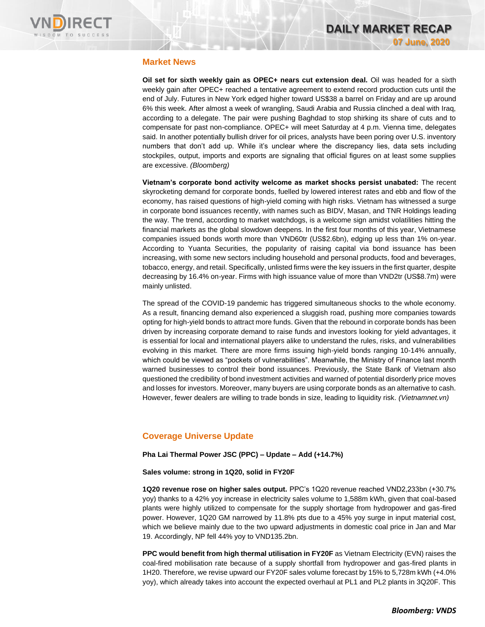

## **Market News**

**Oil set for sixth weekly gain as OPEC+ nears cut extension deal.** Oil was headed for a sixth weekly gain after OPEC+ reached a tentative agreement to extend record production cuts until the end of July. Futures in New York edged higher toward US\$38 a barrel on Friday and are up around 6% this week. After almost a week of wrangling, Saudi Arabia and Russia clinched a deal with Iraq, according to a delegate. The pair were pushing Baghdad to stop shirking its share of cuts and to compensate for past non-compliance. OPEC+ will meet Saturday at 4 p.m. Vienna time, delegates said. In another potentially bullish driver for oil prices, analysts have been poring over U.S. inventory numbers that don't add up. While it's unclear where the discrepancy lies, data sets including stockpiles, output, imports and exports are signaling that official figures on at least some supplies are excessive. *(Bloomberg)*

**Vietnam's corporate bond activity welcome as market shocks persist unabated:** The recent skyrocketing demand for corporate bonds, fuelled by lowered interest rates and ebb and flow of the economy, has raised questions of high-yield coming with high risks. Vietnam has witnessed a surge in corporate bond issuances recently, with names such as BIDV, Masan, and TNR Holdings leading the way. The trend, according to market watchdogs, is a welcome sign amidst volatilities hitting the financial markets as the global slowdown deepens. In the first four months of this year, Vietnamese companies issued bonds worth more than VND60tr (US\$2.6bn), edging up less than 1% on-year. According to Yuanta Securities, the popularity of raising capital via bond issuance has been increasing, with some new sectors including household and personal products, food and beverages, tobacco, energy, and retail. Specifically, unlisted firms were the key issuers in the first quarter, despite decreasing by 16.4% on-year. Firms with high issuance value of more than VND2tr (US\$8.7m) were mainly unlisted.

The spread of the COVID-19 pandemic has triggered simultaneous shocks to the whole economy. As a result, financing demand also experienced a sluggish road, pushing more companies towards opting for high-yield bonds to attract more funds. Given that the rebound in corporate bonds has been driven by increasing corporate demand to raise funds and investors looking for yield advantages, it is essential for local and international players alike to understand the rules, risks, and vulnerabilities evolving in this market. There are more firms issuing high-yield bonds ranging 10-14% annually, which could be viewed as "pockets of vulnerabilities". Meanwhile, the Ministry of Finance last month warned businesses to control their bond issuances. Previously, the State Bank of Vietnam also questioned the credibility of bond investment activities and warned of potential disorderly price moves and losses for investors. Moreover, many buyers are using corporate bonds as an alternative to cash. However, fewer dealers are willing to trade bonds in size, leading to liquidity risk. *(Vietnamnet.vn)*

# **Coverage Universe Update**

**Pha Lai Thermal Power JSC (PPC) – Update – Add (+14.7%)**

**Sales volume: strong in 1Q20, solid in FY20F**

**1Q20 revenue rose on higher sales output.** PPC's 1Q20 revenue reached VND2,233bn (+30.7% yoy) thanks to a 42% yoy increase in electricity sales volume to 1,588m kWh, given that coal-based plants were highly utilized to compensate for the supply shortage from hydropower and gas-fired power. However, 1Q20 GM narrowed by 11.8% pts due to a 45% yoy surge in input material cost, which we believe mainly due to the two upward adjustments in domestic coal price in Jan and Mar 19. Accordingly, NP fell 44% yoy to VND135.2bn.

**PPC would benefit from high thermal utilisation in FY20F** as Vietnam Electricity (EVN) raises the coal-fired mobilisation rate because of a supply shortfall from hydropower and gas-fired plants in 1H20. Therefore, we revise upward our FY20F sales volume forecast by 15% to 5,728m kWh (+4.0% yoy), which already takes into account the expected overhaul at PL1 and PL2 plants in 3Q20F. This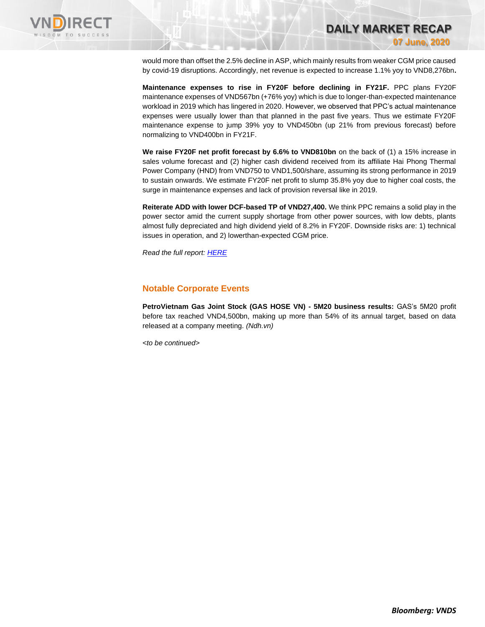

would more than offset the 2.5% decline in ASP, which mainly results from weaker CGM price caused by covid-19 disruptions. Accordingly, net revenue is expected to increase 1.1% yoy to VND8,276bn**.**

**Maintenance expenses to rise in FY20F before declining in FY21F.** PPC plans FY20F maintenance expenses of VND567bn (+76% yoy) which is due to longer-than-expected maintenance workload in 2019 which has lingered in 2020. However, we observed that PPC's actual maintenance expenses were usually lower than that planned in the past five years. Thus we estimate FY20F maintenance expense to jump 39% yoy to VND450bn (up 21% from previous forecast) before normalizing to VND400bn in FY21F.

**We raise FY20F net profit forecast by 6.6% to VND810bn** on the back of (1) a 15% increase in sales volume forecast and (2) higher cash dividend received from its affiliate Hai Phong Thermal Power Company (HND) from VND750 to VND1,500/share, assuming its strong performance in 2019 to sustain onwards. We estimate FY20F net profit to slump 35.8% yoy due to higher coal costs, the surge in maintenance expenses and lack of provision reversal like in 2019.

**Reiterate ADD with lower DCF-based TP of VND27,400.** We think PPC remains a solid play in the power sector amid the current supply shortage from other power sources, with low debts, plants almost fully depreciated and high dividend yield of 8.2% in FY20F. Downside risks are: 1) technical issues in operation, and 2) lowerthan-expected CGM price.

*Read the full report[: HERE](https://static-02.vndirect.com.vn/uploads/prod/Daily-Market-Recap-Dec-17-NLG.pdf)*

### **Notable Corporate Events**

**PetroVietnam Gas Joint Stock (GAS HOSE VN) - 5M20 business results:** GAS's 5M20 profit before tax reached VND4,500bn, making up more than 54% of its annual target, based on data released at a company meeting. *(Ndh.vn)*

*<to be continued>*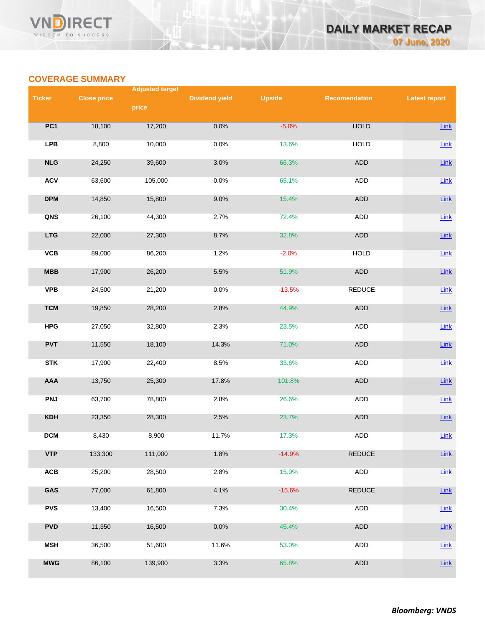# **COVERAGE SUMMARY**

|               |                    | <b>Adjusted target</b> |                       |               |                      |                      |
|---------------|--------------------|------------------------|-----------------------|---------------|----------------------|----------------------|
| <b>Ticker</b> | <b>Close price</b> | price                  | <b>Dividend yield</b> | <b>Upside</b> | <b>Recomendation</b> | <b>Latest report</b> |
|               |                    |                        |                       |               |                      |                      |
| PC1           | 18,100             | 17,200                 | 0.0%                  | $-5.0%$       | <b>HOLD</b>          | $Link$               |
| <b>LPB</b>    | 8,800              | 10,000                 | 0.0%                  | 13.6%         | <b>HOLD</b>          | Link                 |
| NLG           | 24,250             | 39,600                 | 3.0%                  | 66.3%         | ADD                  | Link                 |
| <b>ACV</b>    | 63,600             | 105,000                | 0.0%                  | 65.1%         | <b>ADD</b>           | Link                 |
| <b>DPM</b>    | 14,850             | 15,800                 | 9.0%                  | 15.4%         | ADD                  | $Link$               |
| QNS           | 26,100             | 44,300                 | 2.7%                  | 72.4%         | ADD                  | Link                 |
| <b>LTG</b>    | 22,000             | 27,300                 | 8.7%                  | 32.8%         | ADD                  | Link                 |
| VCB           | 89,000             | 86,200                 | 1.2%                  | $-2.0%$       | <b>HOLD</b>          | Link                 |
| MBB           | 17,900             | 26,200                 | 5.5%                  | 51.9%         | ADD                  | Link                 |
| <b>VPB</b>    | 24,500             | 21,200                 | 0.0%                  | $-13.5%$      | <b>REDUCE</b>        | Link                 |
| <b>TCM</b>    | 19,850             | 28,200                 | 2.8%                  | 44.9%         | ADD                  | $Link$               |
| <b>HPG</b>    | 27,050             | 32,800                 | 2.3%                  | 23.5%         | ADD                  | Link                 |
| <b>PVT</b>    | 11,550             | 18,100                 | 14.3%                 | 71.0%         | ADD                  | Link                 |
| <b>STK</b>    | 17,900             | 22,400                 | 8.5%                  | 33.6%         | ADD                  | Link                 |
| AAA           | 13,750             | 25,300                 | 17.8%                 | 101.8%        | ADD                  | Link                 |
| <b>PNJ</b>    | 63,700             | 78,800                 | 2.8%                  | 26.6%         | <b>ADD</b>           | Link                 |
| <b>KDH</b>    | 23,350             | 28,300                 | 2.5%                  | 23.7%         | ADD                  | $Link$               |
| <b>DCM</b>    | 8,430              | 8,900                  | 11.7%                 | 17.3%         | ADD                  | Link                 |
| <b>VTP</b>    | 133,300            | 111,000                | 1.8%                  | $-14.9%$      | <b>REDUCE</b>        | $Link$               |
| ACB           | 25,200             | 28,500                 | 2.8%                  | 15.9%         | ADD                  | Link                 |
| GAS           | 77,000             | 61,800                 | 4.1%                  | $-15.6%$      | <b>REDUCE</b>        | $Link$               |
| <b>PVS</b>    | 13,400             | 16,500                 | 7.3%                  | 30.4%         | ADD                  | Link                 |
| <b>PVD</b>    | 11,350             | 16,500                 | 0.0%                  | 45.4%         | ADD                  | Link                 |
| <b>MSH</b>    | 36,500             | 51,600                 | 11.6%                 | 53.0%         | ADD                  | Link                 |
| <b>MWG</b>    | 86,100             | 139,900                | 3.3%                  | 65.8%         | ADD                  | $Link$               |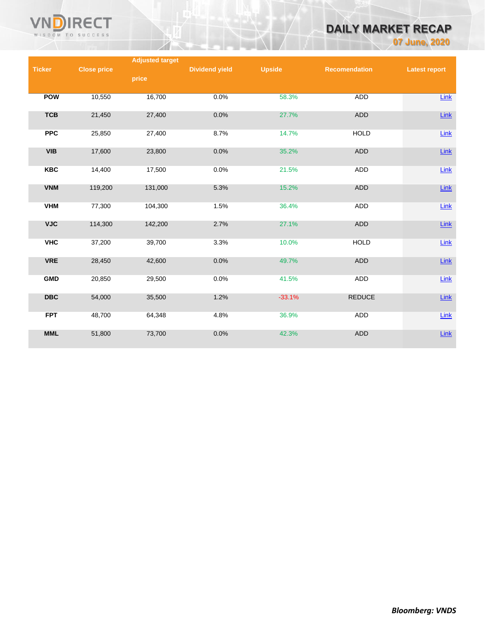

# **DAILY MARKET RECAP**

**07 June, 2020**

|               |                    | <b>Adjusted target</b> |                       |               |                      |                      |
|---------------|--------------------|------------------------|-----------------------|---------------|----------------------|----------------------|
| <b>Ticker</b> | <b>Close price</b> |                        | <b>Dividend yield</b> | <b>Upside</b> | <b>Recomendation</b> | <b>Latest report</b> |
|               |                    | price                  |                       |               |                      |                      |
|               |                    |                        |                       |               |                      |                      |
| <b>POW</b>    | 10,550             | 16,700                 | 0.0%                  | 58.3%         | <b>ADD</b>           | Link                 |
|               |                    |                        |                       |               |                      |                      |
|               |                    |                        |                       |               |                      |                      |
| <b>TCB</b>    | 21,450             | 27,400                 | 0.0%                  | 27.7%         | <b>ADD</b>           | Link                 |
|               |                    |                        |                       |               |                      |                      |
| <b>PPC</b>    | 25,850             | 27,400                 | 8.7%                  | 14.7%         | <b>HOLD</b>          | Link                 |
|               |                    |                        |                       |               |                      |                      |
| <b>VIB</b>    | 17,600             | 23,800                 | 0.0%                  | 35.2%         | <b>ADD</b>           | Link                 |
|               |                    |                        |                       |               |                      |                      |
| <b>KBC</b>    | 14,400             | 17,500                 | 0.0%                  | 21.5%         | ADD                  | Link                 |
|               |                    |                        |                       |               |                      |                      |
| <b>VNM</b>    | 119,200            | 131,000                | 5.3%                  | 15.2%         | <b>ADD</b>           | $Link$               |
|               |                    |                        |                       |               |                      |                      |
| <b>VHM</b>    | 77,300             | 104,300                | 1.5%                  | 36.4%         | ADD                  | Link                 |
|               |                    |                        |                       |               |                      |                      |
| <b>VJC</b>    | 114,300            | 142,200                | 2.7%                  | 27.1%         | <b>ADD</b>           | Link                 |
|               |                    |                        |                       |               |                      |                      |
| <b>VHC</b>    | 37,200             | 39,700                 | 3.3%                  | 10.0%         | <b>HOLD</b>          | Link                 |
|               |                    |                        |                       |               |                      |                      |
| <b>VRE</b>    | 28,450             | 42,600                 | 0.0%                  | 49.7%         | <b>ADD</b>           | $Link$               |
|               |                    |                        |                       |               |                      |                      |
| <b>GMD</b>    | 20,850             | 29,500                 | 0.0%                  | 41.5%         | ADD                  | Link                 |
|               |                    |                        |                       |               |                      |                      |
| <b>DBC</b>    | 54,000             | 35,500                 | 1.2%                  | $-33.1%$      | <b>REDUCE</b>        | $Link$               |
|               |                    |                        |                       |               |                      |                      |
| <b>FPT</b>    | 48,700             | 64,348                 | 4.8%                  | 36.9%         | <b>ADD</b>           | Link                 |
|               |                    |                        |                       |               |                      |                      |
| <b>MML</b>    |                    |                        |                       |               |                      |                      |
|               | 51,800             | 73,700                 | 0.0%                  | 42.3%         | <b>ADD</b>           | Link                 |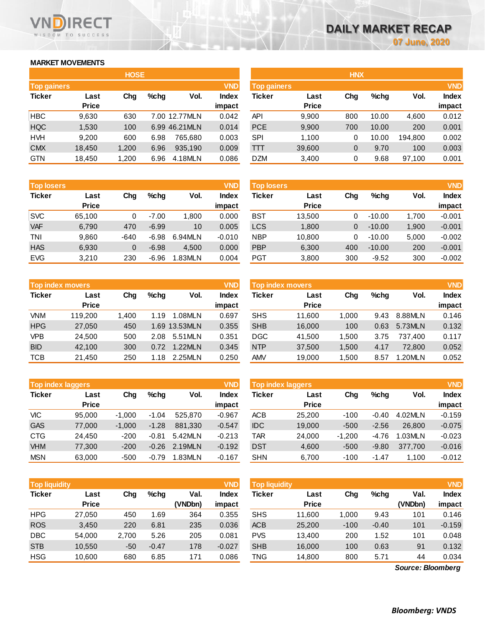# **MARKET MOVEMENTS**

WISDOM TO SUCCESS

RECT

| <b>HOSE</b>        |              |       |         |               |              |  |  |  |  |
|--------------------|--------------|-------|---------|---------------|--------------|--|--|--|--|
| <b>Top gainers</b> |              |       |         |               | <b>VND</b>   |  |  |  |  |
| <b>Ticker</b>      | Last         | Cha   | $%$ chq | Vol.          | <b>Index</b> |  |  |  |  |
|                    | <b>Price</b> |       |         |               | impact       |  |  |  |  |
| <b>HBC</b>         | 9,630        | 630   |         | 7.00 12.77MLN | 0.042        |  |  |  |  |
| <b>HQC</b>         | 1,530        | 100   |         | 6.99 46.21MLN | 0.014        |  |  |  |  |
| <b>HVH</b>         | 9,200        | 600   | 6.98    | 765,680       | 0.003        |  |  |  |  |
| <b>CMX</b>         | 18,450       | 1,200 | 6.96    | 935,190       | 0.009        |  |  |  |  |
| <b>GTN</b>         | 18,450       | 1,200 | 6.96    | 4.18MLN       | 0.086        |  |  |  |  |

| <b>Top losers</b> |              |        |         |         | <b>VND</b>   |
|-------------------|--------------|--------|---------|---------|--------------|
| <b>Ticker</b>     | Last         | Cha    | $%$ chq | Vol.    | <b>Index</b> |
|                   | <b>Price</b> |        |         |         | impact       |
| <b>SVC</b>        | 65,100       | 0      | $-7.00$ | 1,800   | 0.000        |
| <b>VAF</b>        | 6,790        | 470    | $-6.99$ | 10      | 0.005        |
| TNI               | 9,860        | $-640$ | $-6.98$ | 6.94MLN | $-0.010$     |
| <b>HAS</b>        | 6,930        | 0      | $-6.98$ | 4.500   | 0.000        |
| <b>EVG</b>        | 3,210        | 230    | $-6.96$ | 1.83MLN | 0.004        |

|               | <b>Top index movers</b> |       |      |               |              |  |  |  |  |  |
|---------------|-------------------------|-------|------|---------------|--------------|--|--|--|--|--|
| <b>Ticker</b> | Last                    | Cha   | %chq | Vol.          | <b>Index</b> |  |  |  |  |  |
|               | <b>Price</b>            |       |      |               | impact       |  |  |  |  |  |
| <b>VNM</b>    | 119,200                 | 1,400 | 1.19 | 1.08MLN       | 0.697        |  |  |  |  |  |
| <b>HPG</b>    | 27,050                  | 450   |      | 1.69 13.53MLN | 0.355        |  |  |  |  |  |
| <b>VPB</b>    | 24.500                  | 500   | 2.08 | 5.51MLN       | 0.351        |  |  |  |  |  |
| <b>BID</b>    | 42,100                  | 300   | 0.72 | 1.22MLN       | 0.345        |  |  |  |  |  |
| <b>TCB</b>    | 21,450                  | 250   | 1.18 | 2.25MLN       | 0.250        |  |  |  |  |  |

| <b>VND</b><br><b>Top index laggers</b> |              |          |         |         |              |  |  |  |  |
|----------------------------------------|--------------|----------|---------|---------|--------------|--|--|--|--|
| <b>Ticker</b>                          | Last         | Cha      | %chq    | Vol.    | <b>Index</b> |  |  |  |  |
|                                        | <b>Price</b> |          |         |         | impact       |  |  |  |  |
| VIC                                    | 95,000       | $-1,000$ | $-1.04$ | 525,870 | $-0.967$     |  |  |  |  |
| <b>GAS</b>                             | 77,000       | $-1,000$ | $-1.28$ | 881,330 | $-0.547$     |  |  |  |  |
| <b>CTG</b>                             | 24,450       | $-200$   | $-0.81$ | 5.42MLN | $-0.213$     |  |  |  |  |
| <b>VHM</b>                             | 77,300       | $-200$   | $-0.26$ | 2.19MLN | $-0.192$     |  |  |  |  |
| <b>MSN</b>                             | 63.000       | $-500$   | $-0.79$ | 1.83MLN | $-0.167$     |  |  |  |  |

| <b>VND</b><br><b>Top liquidity</b> |                      |       |         |                 |                 | <b>Top liquidity</b> |                      |        |         |                   | <b>VND</b>             |
|------------------------------------|----------------------|-------|---------|-----------------|-----------------|----------------------|----------------------|--------|---------|-------------------|------------------------|
| <b>Ticker</b>                      | Last<br><b>Price</b> | Chg   | $%$ chg | Val.<br>(VNDbn) | Index<br>impact | Ticker               | Last<br><b>Price</b> | Chg    | $%$ chg | Val.<br>(VNDbn)   | <b>Index</b><br>impact |
| <b>HPG</b>                         | 27.050               | 450   | .69     | 364             | 0.355           | <b>SHS</b>           |                      | 1.000  | 9.43    | 101               | 0.146                  |
|                                    |                      |       |         |                 |                 |                      | 11,600               |        |         |                   |                        |
| <b>ROS</b>                         | 3,450                | 220   | 6.81    | 235             | 0.036           | <b>ACB</b>           | 25,200               | $-100$ | $-0.40$ | 101               | $-0.159$               |
| <b>DBC</b>                         | 54,000               | 2,700 | 5.26    | 205             | 0.081           | <b>PVS</b>           | 13,400               | 200    | 1.52    | 101               | 0.048                  |
| <b>STB</b>                         | 10,550               | $-50$ | $-0.47$ | 178             | $-0.027$        | <b>SHB</b>           | 16,000               | 100    | 0.63    | 91                | 0.132                  |
| <b>HSG</b>                         | 10.600               | 680   | 6.85    | 171             | 0.086           | TNG                  | 14,800               | 800    | 5.71    | 44                | 0.034                  |
|                                    |                      |       |         |                 |                 |                      |                      |        |         | Source: Bloomberg |                        |

*Source: Bloomberg*

|                    |              | <b>HOSE</b> |         |                |              | <b>HNX</b>         |              |     |         |         |              |
|--------------------|--------------|-------------|---------|----------------|--------------|--------------------|--------------|-----|---------|---------|--------------|
| <b>Top gainers</b> |              |             |         |                | <b>VND</b>   | <b>Top gainers</b> |              |     |         |         | <b>VND</b>   |
| Ticker             | Last         | Chg         | $%$ chg | Vol.           | <b>Index</b> | Ticker             | Last         | Chg | $%$ chg | Vol.    | <b>Index</b> |
|                    | <b>Price</b> |             |         |                | impact       |                    | <b>Price</b> |     |         |         | impact       |
| HBC                | 9,630        | 630         |         | 7.00 12.77MLN  | 0.042        | <b>API</b>         | 9,900        | 800 | 10.00   | 4,600   | 0.012        |
| <b>HQC</b>         | 1,530        | 100         |         | 6.99 46.21 MLN | 0.014        | <b>PCE</b>         | 9,900        | 700 | 10.00   | 200     | 0.001        |
| HVH                | 9,200        | 600         | 6.98    | 765.680        | 0.003        | <b>SPI</b>         | 1,100        | 0   | 10.00   | 194.800 | 0.002        |
| <b>CMX</b>         | 18,450       | 1,200       | 6.96    | 935,190        | 0.009        | TТT                | 39,600       | 0   | 9.70    | 100     | 0.003        |
| GTN                | 18,450       | 1,200       | 6.96    | 4.18MLN        | 0.086        | <b>DZM</b>         | 3,400        | 0   | 9.68    | 97,100  | 0.001        |
|                    |              |             |         |                |              |                    |              |     |         |         |              |

| <b>Top losers</b> |                      |          |         |         | <b>VND</b>             | <b>Top losers</b> |                      |     |          |       | <b>VND</b>      |
|-------------------|----------------------|----------|---------|---------|------------------------|-------------------|----------------------|-----|----------|-------|-----------------|
| Ticker            | Last<br><b>Price</b> | Chg      | $%$ chq | Vol.    | <b>Index</b><br>impact | Ticker            | Last<br><b>Price</b> | Chg | $%$ chg  | Vol.  | Index<br>impact |
|                   |                      |          |         |         |                        |                   |                      |     |          |       |                 |
| <b>SVC</b>        | 65.100               |          | $-7.00$ | 1,800   | 0.000                  | BST               | 13.500               | 0   | $-10.00$ | 1.700 | $-0.001$        |
| <b>VAF</b>        | 6,790                | 470      | $-6.99$ | 10      | 0.005                  | <b>LCS</b>        | 1.800                | 0   | $-10.00$ | 1,900 | $-0.001$        |
| TNI               | 9,860                | -640     | $-6.98$ | 6.94MLN | $-0.010$               | <b>NBP</b>        | 10,800               | 0   | $-10.00$ | 5,000 | $-0.002$        |
| <b>HAS</b>        | 6,930                | $\Omega$ | $-6.98$ | 4.500   | 0.000                  | <b>PBP</b>        | 6,300                | 400 | $-10.00$ | 200   | $-0.001$        |
| <b>EVG</b>        | 3,210                | 230      | $-6.96$ | 1.83MLN | 0.004                  | PGT               | 3,800                | 300 | $-9.52$  | 300   | $-0.002$        |

|            |                         |       |         |               |              |                  |              |       |      |         | <b>VND</b>   |  |
|------------|-------------------------|-------|---------|---------------|--------------|------------------|--------------|-------|------|---------|--------------|--|
|            | <b>Top index movers</b> |       |         |               | <b>VND</b>   | Top index movers |              |       |      |         |              |  |
| Ticker     | Last                    | Chg   | $%$ chq | Vol.          | <b>Index</b> | Ticker           | Last         | Chg   | %chq | Vol.    | <b>Index</b> |  |
|            | <b>Price</b>            |       |         |               | impact       |                  | <b>Price</b> |       |      |         | impact       |  |
| VNM.       | 119,200                 | 1.400 | 1.19    | 1.08MLN       | 0.697        | <b>SHS</b>       | 11.600       | 1,000 | 9.43 | 8.88MLN | 0.146        |  |
| <b>HPG</b> | 27,050                  | 450   |         | 1.69 13.53MLN | 0.355        | <b>SHB</b>       | 16,000       | 100   | 0.63 | 5.73MLN | 0.132        |  |
| VPB        | 24.500                  | 500   | 2.08    | 5.51MLN       | 0.351        | <b>DGC</b>       | 41.500       | 1.500 | 3.75 | 737.400 | 0.117        |  |
| <b>BID</b> | 42.100                  | 300   | 0.72    | 1.22MLN       | 0.345        | <b>NTP</b>       | 37,500       | 1.500 | 4.17 | 72,800  | 0.052        |  |
| тсв        | 21.450                  | 250   | 1.18    | 2.25MLN       | 0.250        | <b>AMV</b>       | 19,000       | 1,500 | 8.57 | 1.20MLN | 0.052        |  |
|            |                         |       |         |               |              |                  |              |       |      |         |              |  |

|            | <b>VND</b><br><b>Top index laggers</b> |          |         |         |          |            | Top index laggers    |          |         |         |              |  |  |
|------------|----------------------------------------|----------|---------|---------|----------|------------|----------------------|----------|---------|---------|--------------|--|--|
| Ticker     | Last<br><b>Price</b>                   | Cha      | $%$ chq | Vol.    | Index    | Ticker     | Last<br><b>Price</b> | Chg      | %chq    | Vol.    | <b>Index</b> |  |  |
|            |                                        |          |         |         | impact   |            |                      |          |         | 4.02MLN | impact       |  |  |
| VIC        | 95,000                                 | $-1.000$ | $-1.04$ | 525.870 | $-0.967$ | <b>ACB</b> | 25,200               | $-100$   | $-0.40$ |         | $-0.159$     |  |  |
| <b>GAS</b> | 77,000                                 | $-1.000$ | $-1.28$ | 881.330 | $-0.547$ | <b>IDC</b> | 19,000               | $-500$   | $-2.56$ | 26,800  | $-0.075$     |  |  |
| CTG        | 24.450                                 | $-200$   | $-0.81$ | 5.42MLN | $-0.213$ | TAR        | 24.000               | $-1.200$ | $-4.76$ | 1.03MLN | $-0.023$     |  |  |
| <b>VHM</b> | 77,300                                 | $-200$   | $-0.26$ | 2.19MLN | $-0.192$ | <b>DST</b> | 4,600                | $-500$   | $-9.80$ | 377.700 | $-0.016$     |  |  |
| <b>MSN</b> | 63,000                                 | $-500$   | $-0.79$ | 1.83MLN | $-0.167$ | <b>SHN</b> | 6.700                | $-100$   | -1.47   | 1.100   | $-0.012$     |  |  |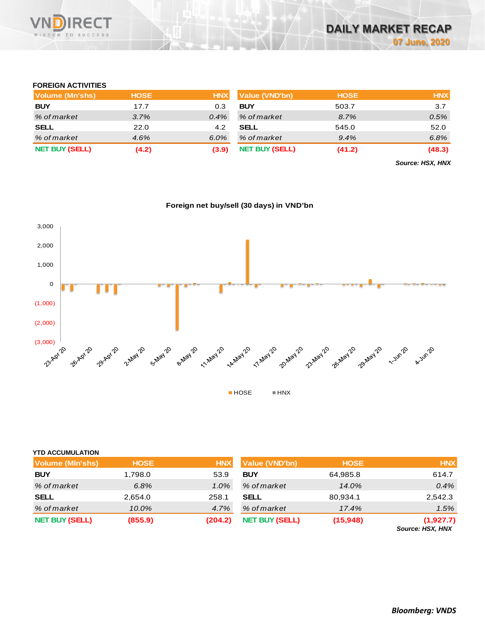

## **FOREIGN ACTIVITIES**

| Volume (Mn'shs)       | <b>HOSE</b> | <b>HNX</b> | Value (VND'bn)        | <b>HOSE</b> | <b>HNX</b> |
|-----------------------|-------------|------------|-----------------------|-------------|------------|
| <b>BUY</b>            | 17.7        | 0.3        | <b>BUY</b>            | 503.7       | 3.7        |
| % of market           | 3.7%        | $0.4\%$    | % of market           | 8.7%        | 0.5%       |
| <b>SELL</b>           | 22.0        | 4.2        | <b>SELL</b>           | 545.0       | 52.0       |
| % of market           | 4.6%        | 6.0%       | % of market           | 9.4%        | 6.8%       |
| <b>NET BUY (SELL)</b> | (4.2)       | (3.9)      | <b>NET BUY (SELL)</b> | (41.2)      | (48.3)     |

*Source: HSX, HNX*



**Foreign net buy/sell (30 days) in VND'bn**

| <b>YTD ACCUMULATION</b> |             |            |                       |             |                               |
|-------------------------|-------------|------------|-----------------------|-------------|-------------------------------|
| Volume (MIn'shs)        | <b>HOSE</b> | <b>HNX</b> | <b>Value (VND'bn)</b> | <b>HOSE</b> | <b>HNX</b>                    |
| <b>BUY</b>              | 1,798.0     | 53.9       | <b>BUY</b>            | 64,985.8    | 614.7                         |
| % of market             | 6.8%        | $1.0\%$    | % of market           | 14.0%       | 0.4%                          |
| <b>SELL</b>             | 2,654.0     | 258.1      | <b>SELL</b>           | 80,934.1    | 2,542.3                       |
| % of market             | 10.0%       | 4.7%       | % of market           | 17.4%       | 1.5%                          |
| <b>NET BUY (SELL)</b>   | (855.9)     | (204.2)    | <b>NET BUY (SELL)</b> | (15, 948)   | (1,927.7)<br>Source: HSX, HNX |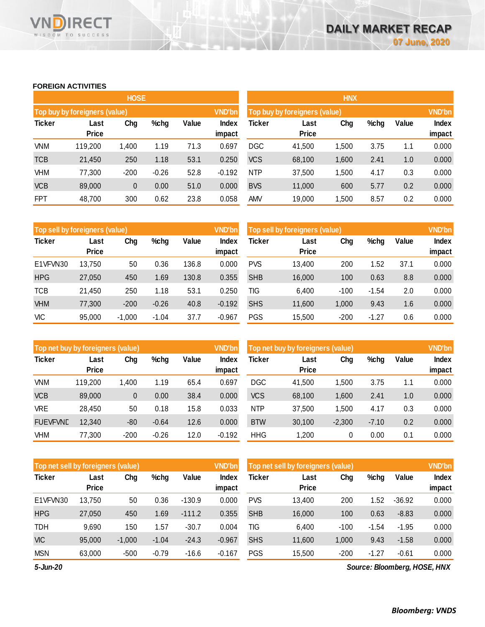### **FOREIGN ACTIVITIES**

WISDOM TO SUCCESS

VND

**RECT** 

|               |                               | <b>HOSE</b> |         |       |                        | <b>HNX</b>                    |                      |               |      |       |                 |  |
|---------------|-------------------------------|-------------|---------|-------|------------------------|-------------------------------|----------------------|---------------|------|-------|-----------------|--|
|               | Top buy by foreigners (value) |             |         |       | <b>VND'bn</b>          | Top buy by foreigners (value) |                      | <b>VND'bn</b> |      |       |                 |  |
| <b>Ticker</b> | Last<br><b>Price</b>          | Chg         | %chg    | Value | <b>Index</b><br>impact | Ticker                        | Last<br><b>Price</b> | Chg           | %chg | Value | Index<br>impact |  |
| <b>VNM</b>    | 119,200                       | 1,400       | 1.19    | 71.3  | 0.697                  | <b>DGC</b>                    | 41,500               | 1,500         | 3.75 | 1.1   | 0.000           |  |
| <b>TCB</b>    | 21,450                        | 250         | 1.18    | 53.1  | 0.250                  | <b>VCS</b>                    | 68,100               | 1,600         | 2.41 | 1.0   | 0.000           |  |
| <b>VHM</b>    | 77,300                        | $-200$      | $-0.26$ | 52.8  | $-0.192$               | <b>NTP</b>                    | 37,500               | 1.500         | 4.17 | 0.3   | 0.000           |  |
| <b>VCB</b>    | 89,000                        | $\pmb{0}$   | 0.00    | 51.0  | 0.000                  | <b>BVS</b>                    | 11,000               | 600           | 5.77 | 0.2   | 0.000           |  |
| <b>FPT</b>    | 48,700                        | 300         | 0.62    | 23.8  | 0.058                  | <b>AMV</b>                    | 19,000               | 1,500         | 8.57 | 0.2   | 0.000           |  |

| Top sell by foreigners (value) |                      |          |         |       | <b>VND'bn</b>   | Top sell by foreigners (value), |                      | <b>VND'bn</b> |         |       |                 |
|--------------------------------|----------------------|----------|---------|-------|-----------------|---------------------------------|----------------------|---------------|---------|-------|-----------------|
| <b>Ticker</b>                  | Last<br><b>Price</b> | Chg      | %chg    | Value | Index<br>impact | <b>Ticker</b>                   | Last<br><b>Price</b> | Chg           | %chg    | Value | Index<br>impact |
| E1VFVN30                       | 13.750               | 50       | 0.36    | 136.8 | 0.000           | <b>PVS</b>                      | 13.400               | 200           | . 52    | 37.1  | 0.000           |
| <b>HPG</b>                     | 27,050               | 450      | 1.69    | 130.8 | 0.355           | <b>SHB</b>                      | 16,000               | 100           | 0.63    | 8.8   | 0.000           |
| <b>TCB</b>                     | 21,450               | 250      | 1.18    | 53.1  | 0.250           | TIG                             | 6,400                | $-100$        | $-1.54$ | 2.0   | 0.000           |
| <b>VHM</b>                     | 77,300               | $-200$   | $-0.26$ | 40.8  | $-0.192$        | <b>SHS</b>                      | 11,600               | 1,000         | 9.43    | 1.6   | 0.000           |
| <b>VIC</b>                     | 95,000               | $-1.000$ | $-1.04$ | 37.7  | $-0.967$        | <b>PGS</b>                      | 15,500               | $-200$        | $-1.27$ | 0.6   | 0.000           |

|                 | Top net buy by foreigners (value) |              |         |       | VND'bn          | Top net buy by foreigners (value) | <b>VND'bn</b> |          |         |       |                        |
|-----------------|-----------------------------------|--------------|---------|-------|-----------------|-----------------------------------|---------------|----------|---------|-------|------------------------|
| <b>Ticker</b>   | Last<br><b>Price</b>              | Chg          | %chg    | Value | Index<br>impact | Ticker                            | Last<br>Price | Chg      | %chg    | Value | <b>Index</b><br>impact |
| VNM             | 119,200                           | 1.400        | 1.19    | 65.4  | 0.697           | <b>DGC</b>                        | 41,500        | 1.500    | 3.75    | 1.1   | 0.000                  |
| <b>VCB</b>      | 89,000                            | $\mathbf{0}$ | 0.00    | 38.4  | 0.000           | <b>VCS</b>                        | 68,100        | 1,600    | 2.41    | 1.0   | 0.000                  |
| <b>VRE</b>      | 28,450                            | 50           | 0.18    | 15.8  | 0.033           | <b>NTP</b>                        | 37,500        | 1,500    | 4.17    | 0.3   | 0.000                  |
| <b>FUEVFVND</b> | 12,340                            | $-80$        | $-0.64$ | 12.6  | 0.000           | <b>BTW</b>                        | 30,100        | $-2,300$ | $-7.10$ | 0.2   | 0.000                  |
| <b>VHM</b>      | 77,300                            | $-200$       | $-0.26$ | 12.0  | $-0.192$        | <b>HHG</b>                        | 1.200         | 0        | 0.00    | 0.1   | 0.000                  |

| Top net sell by foreigners (value) |              |          |         |          | <b>VND'bn</b> | Top net sell by foreigners (value) |              | <b>VND'bn</b> |         |          |        |
|------------------------------------|--------------|----------|---------|----------|---------------|------------------------------------|--------------|---------------|---------|----------|--------|
| <b>Ticker</b>                      | Last         | Chg      | $%$ chg | Value    | Index         | Ticker                             | Last         | Chg           | %chg    | Value    | Index  |
|                                    | <b>Price</b> |          |         |          | impact        |                                    | <b>Price</b> |               |         |          | impact |
| E1VFVN30                           | 13.750       | 50       | 0.36    | $-130.9$ | 0.000         | <b>PVS</b>                         | 13.400       | 200           | 1.52    | $-36.92$ | 0.000  |
| <b>HPG</b>                         | 27,050       | 450      | 1.69    | $-111.2$ | 0.355         | <b>SHB</b>                         | 16,000       | 100           | 0.63    | $-8.83$  | 0.000  |
| <b>TDH</b>                         | 9,690        | 150      | 1.57    | $-30.7$  | 0.004         | TIG                                | 6,400        | $-100$        | $-1.54$ | $-1.95$  | 0.000  |
| <b>VIC</b>                         | 95,000       | $-1.000$ | $-1.04$ | $-24.3$  | $-0.967$      | <b>SHS</b>                         | 11,600       | 1.000         | 9.43    | $-1.58$  | 0.000  |
| <b>MSN</b>                         | 63,000       | $-500$   | $-0.79$ | $-16.6$  | $-0.167$      | <b>PGS</b>                         | 15,500       | $-200$        | $-1.27$ | $-0.61$  | 0.000  |

*5-Jun-20*

*Source: Bloomberg, HOSE, HNX*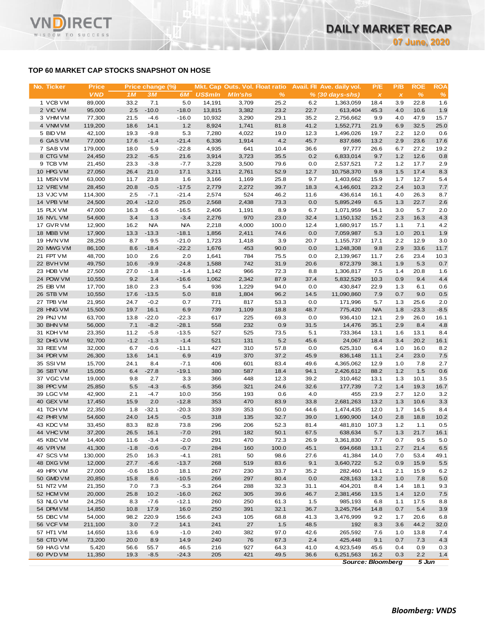# **TOP 60 MARKET CAP STOCKS SNAPSHOT ON HOSE**

**RECT** 

WISDOM TO SUCCESS

VN

| No. Ticker             | <b>Price</b>     |                | Price change (%)  |                    |                | Mkt. Cap Outs. Vol. Float ratio |              |             | Avail. Fil Ave. daily vol. | P/E          | P/B          | <b>ROE</b>      | <b>ROA</b>  |
|------------------------|------------------|----------------|-------------------|--------------------|----------------|---------------------------------|--------------|-------------|----------------------------|--------------|--------------|-----------------|-------------|
|                        | <b>VND</b>       | 1M             | <b>3M</b>         | 6M                 | <b>US\$mln</b> | <b>MIn'shs</b>                  | $\%$         |             | $% (30 days-shs)$          | $\pmb{\chi}$ | $\pmb{\chi}$ | $\%$            | $\%$        |
| 1 VCB VM               | 89,000           | 33.2           | 7.1               | 5.0                | 14,191         | 3,709                           | 25.2         | 6.2         | 1,363,059                  | 18.4         | 3.9          | 22.8            | 1.6         |
| 2 VIC VM               | 95,000           | 2.5            | $-10.0$           | $-18.0$            | 13,815         | 3,382                           | 23.2         | 22.7        | 613,404                    | 45.3         | 4.0          | 10.6            | 1.9         |
| 3 VHM VM               | 77,300           | 21.5           | $-4.6$            | $-16.0$            | 10,932         | 3,290                           | 29.1         | 35.2        | 2,756,662                  | 9.9          | 4.0          | 47.9            | 15.7        |
| 4 VNM VM               | 119,200          | 18.6           | 14.1              | $1.2$              | 8,924          | 1,741                           | 81.8         | 41.2        | 1,552,771                  | 21.9         | 6.9          | 32.5            | 25.0        |
| 5 BID VM               | 42,100           | 19.3           | $-9.8$            | 5.3                | 7,280          | 4,022                           | 19.0         | 12.3        | 1,496,026                  | 19.7         | 2.2          | 12.0            | 0.6         |
| 6 GAS VM               | 77,000           | 17.6           | $-1.4$            | $-21.4$            | 6,336          | 1,914                           | 4.2          | 45.7        | 837,686                    | 13.2         | 2.9          | 23.6            | 17.6        |
| 7 SAB VM               | 179,000          | 18.0           | 5.9               | $-22.8$            | 4,935          | 641                             | 10.4         | 36.6        | 97,777                     | 26.6         | 6.7          | 27.2            | 19.2        |
| 8 CTG VM               | 24,450           | 23.2           | $-6.5$            | 21.6               | 3,914          | 3,723                           | 35.5         | 0.2         | 6,833,014                  | 9.7          | 1.2          | 12.6            | 0.8         |
| 9 TCB VM<br>10 HPG VM  | 21,450<br>27,050 | 23.3           | $-3.8$            | $-7.7$             | 3,228          | 3,500<br>2,761                  | 79.6<br>52.9 | 0.0<br>12.7 | 2,537,521                  | 7.2          | 1.2<br>1.5   | 17.7<br>17.4    | 2.9         |
| 11 MSN VM              | 63,000           | 26.4<br>11.7   | 21.0<br>23.8      | 17.1<br>1.6        | 3,211<br>3,166 | 1,169                           | 25.8         | 9.7         | 10,758,370<br>1,403,662    | 9.8<br>15.9  | 1.7          | 12.7            | 8.3<br>5.4  |
| 12 VRE VM              | 28,450           | 20.8           | $-0.5$            | $-17.5$            | 2,779          | 2,272                           | 39.7         | 18.3        | 4,146,601                  | 23.2         | 2.4          | 10.3            | 7.7         |
| 13 VJC VM              | 114,300          | 2.5            | $-7.1$            | $-21.4$            | 2,574          | 524                             | 46.2         | 11.6        | 436,614                    | 16.1         | 4.0          | 26.3            | 8.7         |
| 14 VPB VM              | 24,500           | 20.4           | $-12.0$           | 25.0               | 2,568          | 2,438                           | 73.3         | 0.0         | 5,895,249                  | 6.5          | 1.3          | 22.7            | 2.6         |
| 15 PLX VM              | 47,000           | 16.3           | $-6.6$            | $-16.5$            | 2,406          | 1,191                           | 8.9          | 6.7         | 1,071,959                  | 54.1         | 3.0          | 5.7             | 2.0         |
| 16 NVL VM              | 54,600           | 3.4            | 1.3               | $-3.4$             | 2,276          | 970                             | 23.0         | 32.4        | 1,150,132                  | 15.2         | 2.3          | 16.3            | 4.3         |
| 17 GVR VM              | 12,900           | 16.2           | <b>N/A</b>        | <b>N/A</b>         | 2,218          | 4,000                           | 100.0        | 12.4        | 1,680,917                  | 15.7         | 1.1          | 7.1             | 4.2         |
| 18 MBB VM              | 17,900           | 13.3           | $-13.3$           | $-18.1$            | 1,856          | 2,411                           | 74.6         | 0.0         | 7,059,987                  | 5.3          | 1.0          | 20.1            | 1.9         |
| 19 HVN VM              | 28,250           | 8.7            | 9.5               | $-21.0$            | 1,723          | 1,418                           | 3.9          | 20.7        | 1,155,737                  | 17.1         | 2.2          | 12.9            | 3.0         |
| 20 MWG VM              | 86,100           | 8.6            | $-18.4$           | $-22.2$            | 1,676          | 453                             | 90.0         | 0.0         | 1,248,308                  | 9.8          | 2.9          | 33.6            | 11.7        |
| 21 FPT VM              | 48,700           | 10.0           | 2.6               | 2.0                | 1,641          | 784                             | 75.5         | 0.0         | 2,139,967                  | 11.7         | 2.6          | 23.4            | 10.3        |
| 22 BVHVM               | 49,750           | 10.6           | $-9.9$            | $-24.8$            | 1,588          | 742                             | 31.9         | 20.6        | 872,379                    | 38.1         | 1.9          | 5.3             | 0.7         |
| 23 HDB VM              | 27,500           | 27.0           | $-1.8$            | $-1.4$             | 1,142          | 966                             | 72.3         | 8.8         | 1,306,817                  | 7.5          | 1.4          | 20.8            | 1.6         |
| 24 POW VM              | 10,550           | 9.2            | 3.4               | $-16.6$            | 1,062          | 2,342                           | 87.9         | 37.4        | 5,832,529                  | 10.3         | 0.9          | 9.4             | 4.4         |
| 25 EIB VM              | 17,700           | 18.0           | 2.3               | 5.4                | 936            | 1,229                           | 94.0         | 0.0         | 430,847                    | 22.9         | 1.3          | 6.1             | 0.6         |
| 26 STB VM              | 10,550           | 17.6           | $-13.5$           | 5.0                | 818            | 1,804                           | 96.2         | 14.5        | 11,090,860                 | 7.9          | 0.7          | 9.0             | 0.5         |
| 27 TPB VM              | 21,950           | 24.7           | $-0.2$            | 0.7                | 771            | 817                             | 53.3         | 0.0         | 171,996                    | 5.7          | 1.3          | 25.6            | 2.0         |
| 28 HNG VM              | 15,500           | 19.7           | 16.1              | 6.9                | 739            | 1,109                           | 18.8         | 48.7        | 775,420                    | <b>N/A</b>   | 1.8<br>2.9   | $-23.3$<br>26.0 | $-8.5$      |
| 29 PNJ VM<br>30 BHN VM | 63,700<br>56,000 | 13.8<br>7.1    | $-22.0$<br>$-8.2$ | $-22.3$<br>$-28.1$ | 617<br>558     | 225<br>232                      | 69.3<br>0.9  | 0.0<br>31.5 | 936,410<br>14,476          | 12.1<br>35.1 | 2.9          | 8.4             | 16.1<br>4.8 |
| 31 KDH VM              | 23,350           | 11.2           | $-5.8$            | $-13.5$            | 527            | 525                             | 73.5         | 5.1         | 733,364                    | 13.1         | 1.6          | 13.1            | 8.4         |
| 32 DHG VM              | 92,700           | $-1.2$         | $-1.3$            | $-1.4$             | 521            | 131                             | 5.2          | 45.6        | 24,067                     | 18.4         | 3.4          | 20.2            | 16.1        |
| 33 REE VM              | 32,000           | 6.7            | $-0.6$            | $-11.1$            | 427            | 310                             | 57.8         | 0.0         | 625,310                    | 6.4          | 1.0          | 16.0            | 8.2         |
| 34 PDR VM              | 26,300           | 13.6           | 14.1              | 6.9                | 419            | 370                             | 37.2         | 45.9        | 836,148                    | 11.1         | 2.4          | 23.0            | 7.5         |
| 35 SSIVM               | 15,700           | 24.1           | 8.4               | $-7.1$             | 406            | 601                             | 83.4         | 49.6        | 4,365,062                  | 12.9         | 1.0          | 7.8             | 2.7         |
| 36 SBT VM              | 15,050           | 6.4            | $-27.8$           | $-19.1$            | 380            | 587                             | 18.4         | 94.1        | 2,426,612                  | 88.2         | 1.2          | 1.5             | 0.6         |
| 37 VGC VM              | 19,000           | 9.8            | 2.7               | 3.3                | 366            | 448                             | 12.3         | 39.2        | 310,462                    | 13.1         | 1.3          | 10.1            | 3.5         |
| 38 PPC VM              | 25,850           | 5.5            | $-4.3$            | $-6.5$             | 356            | 321                             | 24.6         | 32.6        | 177,739                    | 7.2          | 1.4          | 19.3            | 16.7        |
| 39 LGC VM              | 42,900           | 2.1            | $-4.7$            | 10.0               | 356            | 193                             | 0.6          | 4.0         | 455                        | 23.9         | 2.7          | 12.0            | 3.2         |
| 40 GEX VM              | 17,450           | 15.9           | 2.0               | $-12.8$            | 353            | 470                             | 83.9         | 33.8        | 2,681,263                  | 13.2         | 1.3          | 10.6            | 3.3         |
| 41 TCH VM              | 22,350           | 1.8            | $-32.1$           | $-20.3$            | 339            | 353                             | 50.0         | 44.6        | 1,474,435                  | 12.0         | 1.7          | 14.5            | 8.4         |
| 42 PHR VM              | 54,600           | 24.0           | 14.5              | $-0.5$             | 318            | 135                             | 32.7         | 39.0        | 1,690,900                  | 14.0         | 2.8          | 18.8            | 10.2        |
| 43 KDC VM              | 33,450           | 83.3           | 82.8              | 73.8               | 296            | 206                             | 52.3         | 81.4        | 481,810                    | 107.3        | $1.2$        | 1.1             | 0.5         |
| 44 VHC VM              | 37,200           | 26.5           | 16.1              | $-7.0$             | 291            | 182                             | 50.1         | 67.5        | 638,634                    | 5.7          | 1.3          | 21.7            | 16.1        |
| 45 KBC VM              | 14,400           | 11.6           | $-3.4$            | $-2.0$             | 291            | 470                             | 72.3         | 26.9        | 3,361,830                  | 7.7          | 0.7          | 9.5             | 5.0         |
| 46 VPI VM              | 41,300           | $-1.8$         | $-0.6$            | $-0.7$             | 284            | 160                             | 100.0        | 45.1        | 694,668                    | 13.1         | 2.7          | 21.4            | 6.5         |
| 47 SCS VM              | 130,000          | 25.0           | 16.3              | $-4.1$             | 281            | 50                              | 98.6         | 27.6        | 41,384<br>3,640,722        | 14.0         | 7.0          | 53.4            | 49.1        |
| 48 DXG VM<br>49 HPX VM | 12,000           | 27.7<br>$-0.6$ | $-6.6$            | $-13.7$<br>18.1    | 268<br>267     | 519<br>230                      | 83.6<br>33.7 | 9.1<br>35.2 | 282,460                    | 5.2          | 0.9          | 15.9<br>15.9    | $5.5\,$     |
| 50 GMD VM              | 27,000<br>20,850 | 15.8           | 15.0<br>8.6       | $-10.5$            | 266            | 297                             | 80.4         | 0.0         | 428,163                    | 14.1<br>13.2 | 2.1<br>1.0   | 7.8             | 6.2<br>5.0  |
| 51 NT2 VM              | 21,350           | 7.0            | 7.3               | $-5.3$             | 264            | 288                             | 32.3         | 31.1        | 404,201                    | 8.4          | 1.4          | 18.1            | 9.3         |
| 52 HCM VM              | 20,000           | 25.8           | 10.2              | $-16.0$            | 262            | 305                             | 39.6         | 46.7        | 2,381,456                  | 13.5         | 1.4          | 12.0            | 7.5         |
| 53 NLG VM              | 24,250           | 8.3            | $-7.6$            | $-12.1$            | 260            | 250                             | 61.3         | 1.5         | 985,193                    | 6.8          | 1.1          | 17.5            | 8.8         |
| 54 DPM VM              | 14,850           | 10.8           | 17.9              | 16.0               | 250            | 391                             | 32.1         | 36.7        | 3,245,764                  | 14.8         | 0.7          | 5.4             | 3.9         |
| 55 DBC VM              | 54,000           | 98.2           | 220.9             | 156.6              | 243            | 105                             | 68.8         | 41.3        | 3,476,999                  | 9.2          | 1.7          | 20.6            | 6.8         |
| 56 VCF VM              | 211,100          | 3.0            | 7.2               | 14.1               | 241            | 27                              | 1.5          | 48.5        | 192                        | 8.3          | 3.6          | 44.2            | 32.0        |
| 57 HT1 VM              | 14,650           | 13.6           | 6.9               | $-1.0$             | 240            | 382                             | 97.0         | 42.6        | 265,592                    | 7.6          | 1.0          | 13.8            | 7.4         |
| 58 CTD VM              | 73,200           | 20.0           | 8.9               | 14.9               | 240            | 76                              | 67.3         | 2.4         | 425,448                    | 9.1          | 0.7          | 7.3             | 4.3         |
|                        |                  |                |                   |                    |                |                                 |              |             |                            |              |              |                 |             |
| 59 HAG VM              | 5,420            | 56.6           | 55.7              | 46.5               | 216            | 927                             | 64.3         | 41.0        | 4,923,549                  | 45.6         | 0.4          | 0.9             | 0.3         |